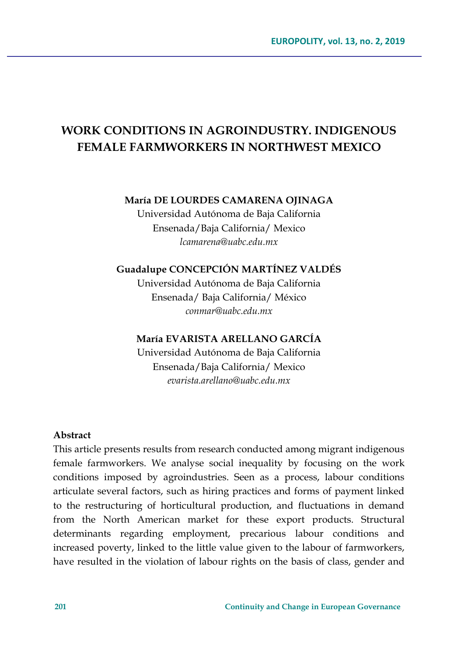# **WORK CONDITIONS IN AGROINDUSTRY. INDIGENOUS FEMALE FARMWORKERS IN NORTHWEST MEXICO**

#### **María DE LOURDES CAMARENA OJINAGA**

Universidad Autónoma de Baja California Ensenada/Baja California/ Mexico *lcamarena@uabc.edu.mx*

## **Guadalupe CONCEPCIÓN MARTÍNEZ VALDÉS**

Universidad Autónoma de Baja California Ensenada/ Baja California/ México *conmar@uabc.edu.mx*

### **María EVARISTA ARELLANO GARCÍA**

Universidad Autónoma de Baja California Ensenada/Baja California/ Mexico *[evarista.arellano@uabc.edu.mx](mailto:evarista.arellano@uabc.edu.mx)*

#### **Abstract**

This article presents results from research conducted among migrant indigenous female farmworkers. We analyse social inequality by focusing on the work conditions imposed by agroindustries. Seen as a process, labour conditions articulate several factors, such as hiring practices and forms of payment linked to the restructuring of horticultural production, and fluctuations in demand from the North American market for these export products. Structural determinants regarding employment, precarious labour conditions and increased poverty, linked to the little value given to the labour of farmworkers, have resulted in the violation of labour rights on the basis of class, gender and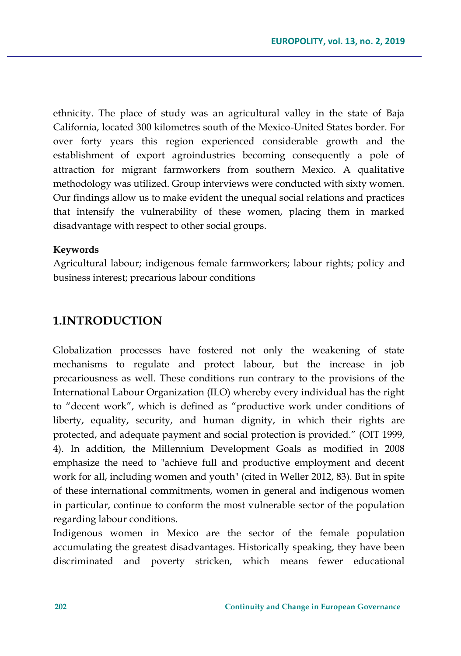ethnicity. The place of study was an agricultural valley in the state of Baja California, located 300 kilometres south of the Mexico-United States border. For over forty years this region experienced considerable growth and the establishment of export agroindustries becoming consequently a pole of attraction for migrant farmworkers from southern Mexico. A qualitative methodology was utilized. Group interviews were conducted with sixty women. Our findings allow us to make evident the unequal social relations and practices that intensify the vulnerability of these women, placing them in marked disadvantage with respect to other social groups.

#### **Keywords**

Agricultural labour; indigenous female farmworkers; labour rights; policy and business interest; precarious labour conditions

# **1.INTRODUCTION**

Globalization processes have fostered not only the weakening of state mechanisms to regulate and protect labour, but the increase in job precariousness as well. These conditions run contrary to the provisions of the International Labour Organization (ILO) whereby every individual has the right to "decent work", which is defined as "productive work under conditions of liberty, equality, security, and human dignity, in which their rights are protected, and adequate payment and social protection is provided." (OIT 1999, 4). In addition, the Millennium Development Goals as modified in 2008 emphasize the need to "achieve full and productive employment and decent work for all, including women and youth" (cited in Weller 2012, 83). But in spite of these international commitments, women in general and indigenous women in particular, continue to conform the most vulnerable sector of the population regarding labour conditions.

Indigenous women in Mexico are the sector of the female population accumulating the greatest disadvantages. Historically speaking, they have been discriminated and poverty stricken, which means fewer educational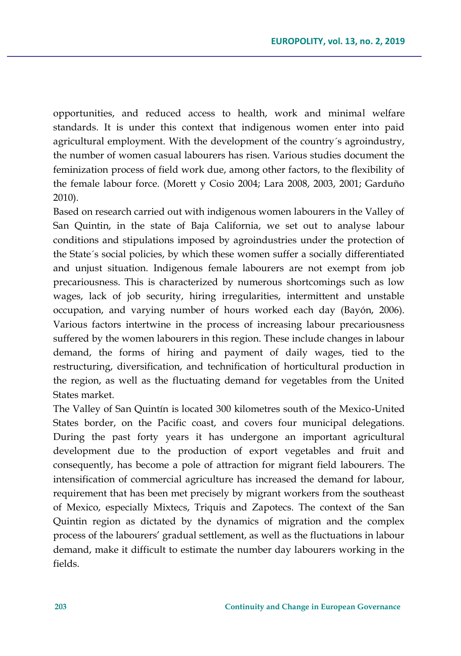opportunities, and reduced access to health, work and minimal welfare standards. It is under this context that indigenous women enter into paid agricultural employment. With the development of the country´s agroindustry, the number of women casual labourers has risen. Various studies document the feminization process of field work due, among other factors, to the flexibility of the female labour force. (Morett y Cosio 2004; Lara 2008, 2003, 2001; Garduño 2010).

Based on research carried out with indigenous women labourers in the Valley of San Quintin, in the state of Baja California, we set out to analyse labour conditions and stipulations imposed by agroindustries under the protection of the State´s social policies, by which these women suffer a socially differentiated and unjust situation. Indigenous female labourers are not exempt from job precariousness. This is characterized by numerous shortcomings such as low wages, lack of job security, hiring irregularities, intermittent and unstable occupation, and varying number of hours worked each day (Bayón, 2006). Various factors intertwine in the process of increasing labour precariousness suffered by the women labourers in this region. These include changes in labour demand, the forms of hiring and payment of daily wages, tied to the restructuring, diversification, and technification of horticultural production in the region, as well as the fluctuating demand for vegetables from the United States market.

The Valley of San Quintín is located 300 kilometres south of the Mexico-United States border, on the Pacific coast, and covers four municipal delegations. During the past forty years it has undergone an important agricultural development due to the production of export vegetables and fruit and consequently, has become a pole of attraction for migrant field labourers. The intensification of commercial agriculture has increased the demand for labour, requirement that has been met precisely by migrant workers from the southeast of Mexico, especially Mixtecs, Triquis and Zapotecs. The context of the San Quintin region as dictated by the dynamics of migration and the complex process of the labourers' gradual settlement, as well as the fluctuations in labour demand, make it difficult to estimate the number day labourers working in the fields.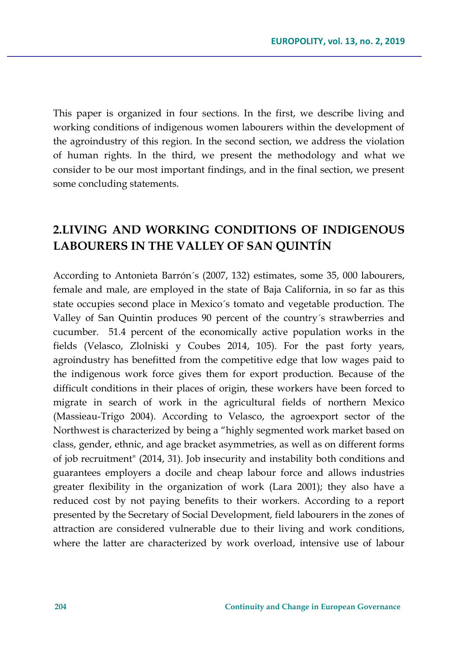This paper is organized in four sections. In the first, we describe living and working conditions of indigenous women labourers within the development of the agroindustry of this region. In the second section, we address the violation of human rights. In the third, we present the methodology and what we consider to be our most important findings, and in the final section, we present some concluding statements.

# **2.LIVING AND WORKING CONDITIONS OF INDIGENOUS LABOURERS IN THE VALLEY OF SAN QUINTÍN**

According to Antonieta Barrón´s (2007, 132) estimates, some 35, 000 labourers, female and male, are employed in the state of Baja California, in so far as this state occupies second place in Mexico´s tomato and vegetable production. The Valley of San Quintin produces 90 percent of the country´s strawberries and cucumber. 51.4 percent of the economically active population works in the fields (Velasco, Zlolniski y Coubes 2014, 105). For the past forty years, agroindustry has benefitted from the competitive edge that low wages paid to the indigenous work force gives them for export production. Because of the difficult conditions in their places of origin, these workers have been forced to migrate in search of work in the agricultural fields of northern Mexico (Massieau-Trigo 2004). According to Velasco, the agroexport sector of the Northwest is characterized by being a "highly segmented work market based on class, gender, ethnic, and age bracket asymmetries, as well as on different forms of job recruitment" (2014, 31). Job insecurity and instability both conditions and guarantees employers a docile and cheap labour force and allows industries greater flexibility in the organization of work (Lara 2001); they also have a reduced cost by not paying benefits to their workers. According to a report presented by the Secretary of Social Development, field labourers in the zones of attraction are considered vulnerable due to their living and work conditions, where the latter are characterized by work overload, intensive use of labour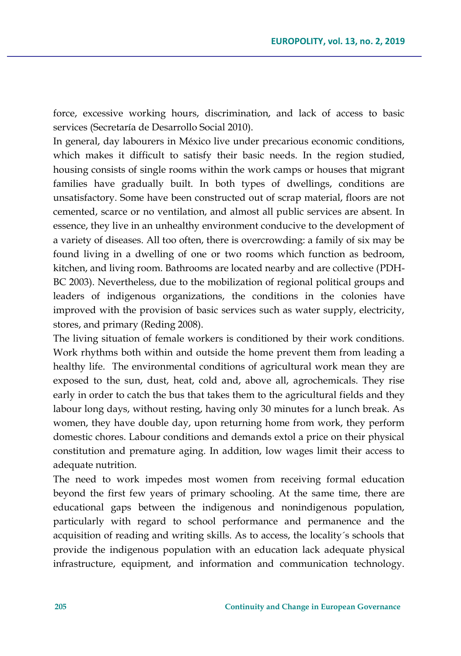force, excessive working hours, discrimination, and lack of access to basic services (Secretaría de Desarrollo Social 2010).

In general, day labourers in México live under precarious economic conditions, which makes it difficult to satisfy their basic needs. In the region studied, housing consists of single rooms within the work camps or houses that migrant families have gradually built. In both types of dwellings, conditions are unsatisfactory. Some have been constructed out of scrap material, floors are not cemented, scarce or no ventilation, and almost all public services are absent. In essence, they live in an unhealthy environment conducive to the development of a variety of diseases. All too often, there is overcrowding: a family of six may be found living in a dwelling of one or two rooms which function as bedroom, kitchen, and living room. Bathrooms are located nearby and are collective (PDH-BC 2003). Nevertheless, due to the mobilization of regional political groups and leaders of indigenous organizations, the conditions in the colonies have improved with the provision of basic services such as water supply, electricity, stores, and primary (Reding 2008).

The living situation of female workers is conditioned by their work conditions. Work rhythms both within and outside the home prevent them from leading a healthy life. The environmental conditions of agricultural work mean they are exposed to the sun, dust, heat, cold and, above all, agrochemicals. They rise early in order to catch the bus that takes them to the agricultural fields and they labour long days, without resting, having only 30 minutes for a lunch break. As women, they have double day, upon returning home from work, they perform domestic chores. Labour conditions and demands extol a price on their physical constitution and premature aging. In addition, low wages limit their access to adequate nutrition.

The need to work impedes most women from receiving formal education beyond the first few years of primary schooling. At the same time, there are educational gaps between the indigenous and nonindigenous population, particularly with regard to school performance and permanence and the acquisition of reading and writing skills. As to access, the locality´s schools that provide the indigenous population with an education lack adequate physical infrastructure, equipment, and information and communication technology.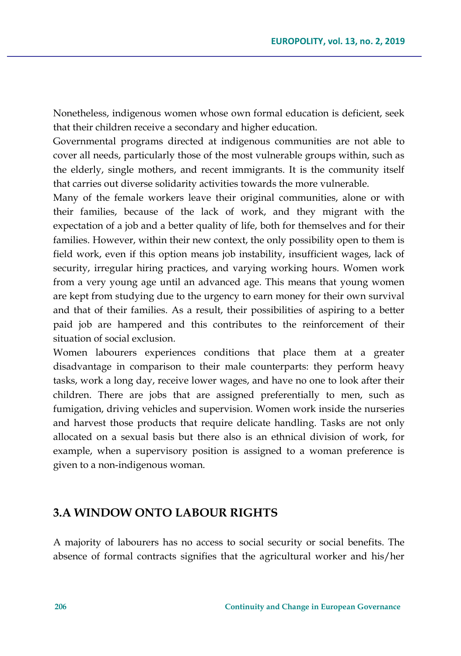Nonetheless, indigenous women whose own formal education is deficient, seek that their children receive a secondary and higher education.

Governmental programs directed at indigenous communities are not able to cover all needs, particularly those of the most vulnerable groups within, such as the elderly, single mothers, and recent immigrants. It is the community itself that carries out diverse solidarity activities towards the more vulnerable.

Many of the female workers leave their original communities, alone or with their families, because of the lack of work, and they migrant with the expectation of a job and a better quality of life, both for themselves and for their families. However, within their new context, the only possibility open to them is field work, even if this option means job instability, insufficient wages, lack of security, irregular hiring practices, and varying working hours. Women work from a very young age until an advanced age. This means that young women are kept from studying due to the urgency to earn money for their own survival and that of their families. As a result, their possibilities of aspiring to a better paid job are hampered and this contributes to the reinforcement of their situation of social exclusion.

Women labourers experiences conditions that place them at a greater disadvantage in comparison to their male counterparts: they perform heavy tasks, work a long day, receive lower wages, and have no one to look after their children. There are jobs that are assigned preferentially to men, such as fumigation, driving vehicles and supervision. Women work inside the nurseries and harvest those products that require delicate handling. Tasks are not only allocated on a sexual basis but there also is an ethnical division of work, for example, when a supervisory position is assigned to a woman preference is given to a non-indigenous woman.

# **3.A WINDOW ONTO LABOUR RIGHTS**

A majority of labourers has no access to social security or social benefits. The absence of formal contracts signifies that the agricultural worker and his/her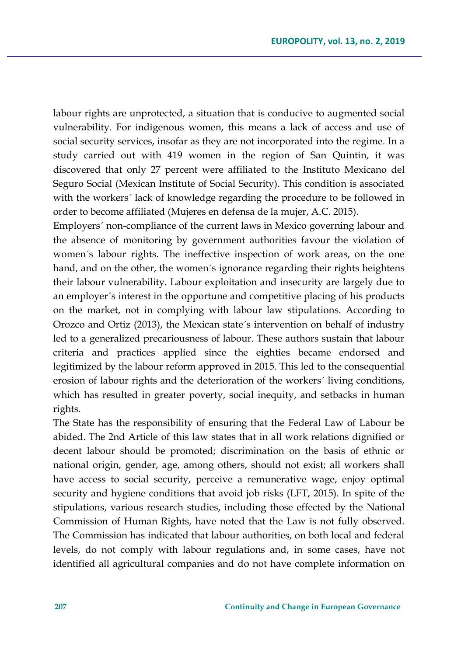labour rights are unprotected, a situation that is conducive to augmented social vulnerability. For indigenous women, this means a lack of access and use of social security services, insofar as they are not incorporated into the regime. In a study carried out with 419 women in the region of San Quintin, it was discovered that only 27 percent were affiliated to the Instituto Mexicano del Seguro Social (Mexican Institute of Social Security). This condition is associated with the workers´ lack of knowledge regarding the procedure to be followed in order to become affiliated (Mujeres en defensa de la mujer, A.C. 2015).

Employers´ non-compliance of the current laws in Mexico governing labour and the absence of monitoring by government authorities favour the violation of women´s labour rights. The ineffective inspection of work areas, on the one hand, and on the other, the women´s ignorance regarding their rights heightens their labour vulnerability. Labour exploitation and insecurity are largely due to an employer´s interest in the opportune and competitive placing of his products on the market, not in complying with labour law stipulations. According to Orozco and Ortiz (2013), the Mexican state´s intervention on behalf of industry led to a generalized precariousness of labour. These authors sustain that labour criteria and practices applied since the eighties became endorsed and legitimized by the labour reform approved in 2015. This led to the consequential erosion of labour rights and the deterioration of the workers´ living conditions, which has resulted in greater poverty, social inequity, and setbacks in human rights.

The State has the responsibility of ensuring that the Federal Law of Labour be abided. The 2nd Article of this law states that in all work relations dignified or decent labour should be promoted; discrimination on the basis of ethnic or national origin, gender, age, among others, should not exist; all workers shall have access to social security, perceive a remunerative wage, enjoy optimal security and hygiene conditions that avoid job risks (LFT, 2015). In spite of the stipulations, various research studies, including those effected by the National Commission of Human Rights, have noted that the Law is not fully observed. The Commission has indicated that labour authorities, on both local and federal levels, do not comply with labour regulations and, in some cases, have not identified all agricultural companies and do not have complete information on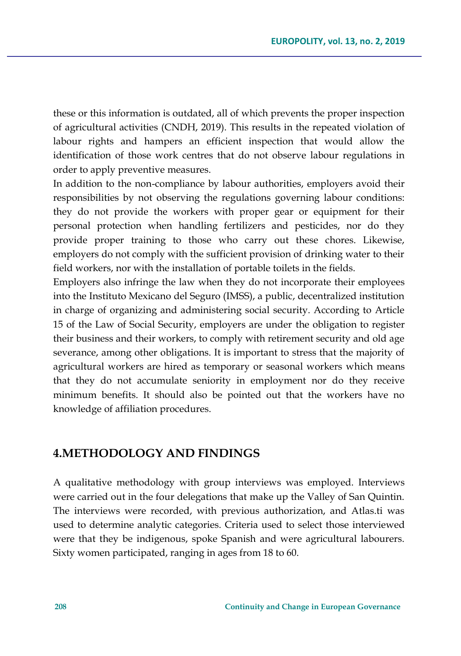these or this information is outdated, all of which prevents the proper inspection of agricultural activities (CNDH, 2019). This results in the repeated violation of labour rights and hampers an efficient inspection that would allow the identification of those work centres that do not observe labour regulations in order to apply preventive measures.

In addition to the non-compliance by labour authorities, employers avoid their responsibilities by not observing the regulations governing labour conditions: they do not provide the workers with proper gear or equipment for their personal protection when handling fertilizers and pesticides, nor do they provide proper training to those who carry out these chores. Likewise, employers do not comply with the sufficient provision of drinking water to their field workers, nor with the installation of portable toilets in the fields.

Employers also infringe the law when they do not incorporate their employees into the Instituto Mexicano del Seguro (IMSS), a public, decentralized institution in charge of organizing and administering social security. According to Article 15 of the Law of Social Security, employers are under the obligation to register their business and their workers, to comply with retirement security and old age severance, among other obligations. It is important to stress that the majority of agricultural workers are hired as temporary or seasonal workers which means that they do not accumulate seniority in employment nor do they receive minimum benefits. It should also be pointed out that the workers have no knowledge of affiliation procedures.

### **4.METHODOLOGY AND FINDINGS**

A qualitative methodology with group interviews was employed. Interviews were carried out in the four delegations that make up the Valley of San Quintin. The interviews were recorded, with previous authorization, and Atlas.ti was used to determine analytic categories. Criteria used to select those interviewed were that they be indigenous, spoke Spanish and were agricultural labourers. Sixty women participated, ranging in ages from 18 to 60.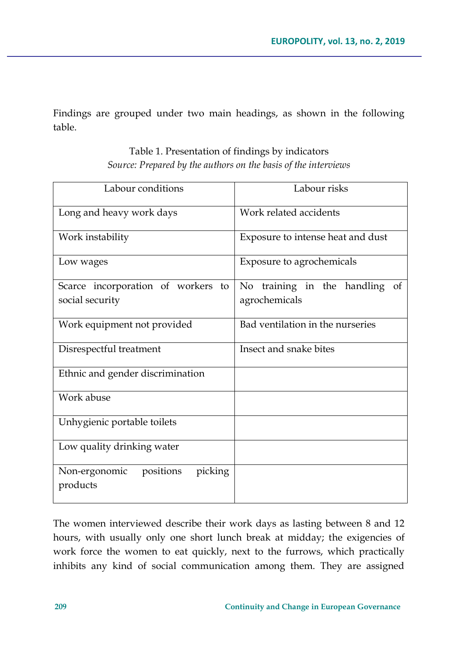Findings are grouped under two main headings, as shown in the following table.

| Labour conditions                                 | Labour risks                      |
|---------------------------------------------------|-----------------------------------|
| Long and heavy work days                          | Work related accidents            |
| Work instability                                  | Exposure to intense heat and dust |
| Low wages                                         | Exposure to agrochemicals         |
| Scarce incorporation of workers to                | No training in the handling<br>of |
| social security                                   | agrochemicals                     |
| Work equipment not provided                       | Bad ventilation in the nurseries  |
| Disrespectful treatment                           | Insect and snake bites            |
| Ethnic and gender discrimination                  |                                   |
| Work abuse                                        |                                   |
| Unhygienic portable toilets                       |                                   |
| Low quality drinking water                        |                                   |
| picking<br>Non-ergonomic<br>positions<br>products |                                   |

Table 1. Presentation of findings by indicators *Source: Prepared by the authors on the basis of the interviews* 

The women interviewed describe their work days as lasting between 8 and 12 hours, with usually only one short lunch break at midday; the exigencies of work force the women to eat quickly, next to the furrows, which practically inhibits any kind of social communication among them. They are assigned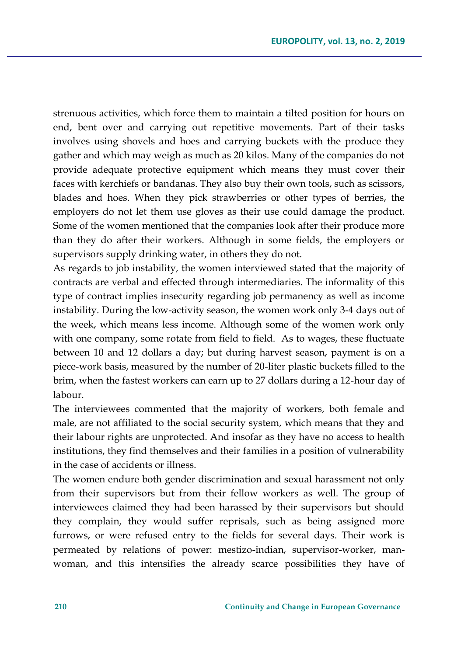strenuous activities, which force them to maintain a tilted position for hours on end, bent over and carrying out repetitive movements. Part of their tasks involves using shovels and hoes and carrying buckets with the produce they gather and which may weigh as much as 20 kilos. Many of the companies do not provide adequate protective equipment which means they must cover their faces with kerchiefs or bandanas. They also buy their own tools, such as scissors, blades and hoes. When they pick strawberries or other types of berries, the employers do not let them use gloves as their use could damage the product. Some of the women mentioned that the companies look after their produce more than they do after their workers. Although in some fields, the employers or supervisors supply drinking water, in others they do not.

As regards to job instability, the women interviewed stated that the majority of contracts are verbal and effected through intermediaries. The informality of this type of contract implies insecurity regarding job permanency as well as income instability. During the low-activity season, the women work only 3-4 days out of the week, which means less income. Although some of the women work only with one company, some rotate from field to field. As to wages, these fluctuate between 10 and 12 dollars a day; but during harvest season, payment is on a piece-work basis, measured by the number of 20-liter plastic buckets filled to the brim, when the fastest workers can earn up to 27 dollars during a 12-hour day of labour.

The interviewees commented that the majority of workers, both female and male, are not affiliated to the social security system, which means that they and their labour rights are unprotected. And insofar as they have no access to health institutions, they find themselves and their families in a position of vulnerability in the case of accidents or illness.

The women endure both gender discrimination and sexual harassment not only from their supervisors but from their fellow workers as well. The group of interviewees claimed they had been harassed by their supervisors but should they complain, they would suffer reprisals, such as being assigned more furrows, or were refused entry to the fields for several days. Their work is permeated by relations of power: mestizo-indian, supervisor-worker, manwoman, and this intensifies the already scarce possibilities they have of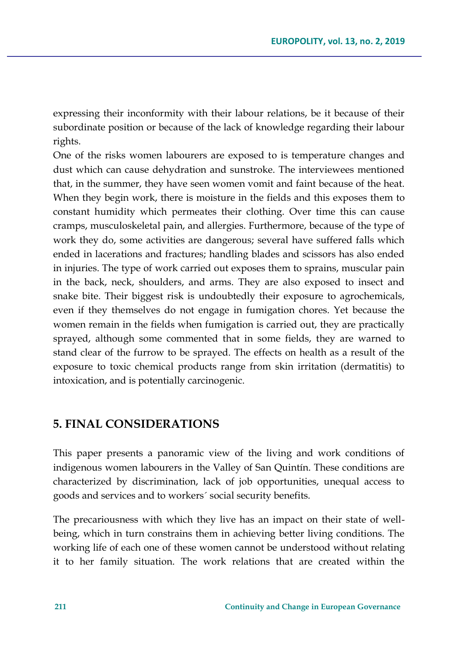expressing their inconformity with their labour relations, be it because of their subordinate position or because of the lack of knowledge regarding their labour rights.

One of the risks women labourers are exposed to is temperature changes and dust which can cause dehydration and sunstroke. The interviewees mentioned that, in the summer, they have seen women vomit and faint because of the heat. When they begin work, there is moisture in the fields and this exposes them to constant humidity which permeates their clothing. Over time this can cause cramps, musculoskeletal pain, and allergies. Furthermore, because of the type of work they do, some activities are dangerous; several have suffered falls which ended in lacerations and fractures; handling blades and scissors has also ended in injuries. The type of work carried out exposes them to sprains, muscular pain in the back, neck, shoulders, and arms. They are also exposed to insect and snake bite. Their biggest risk is undoubtedly their exposure to agrochemicals, even if they themselves do not engage in fumigation chores. Yet because the women remain in the fields when fumigation is carried out, they are practically sprayed, although some commented that in some fields, they are warned to stand clear of the furrow to be sprayed. The effects on health as a result of the exposure to toxic chemical products range from skin irritation (dermatitis) to intoxication, and is potentially carcinogenic.

## **5. FINAL CONSIDERATIONS**

This paper presents a panoramic view of the living and work conditions of indigenous women labourers in the Valley of San Quintín. These conditions are characterized by discrimination, lack of job opportunities, unequal access to goods and services and to workers´ social security benefits.

The precariousness with which they live has an impact on their state of wellbeing, which in turn constrains them in achieving better living conditions. The working life of each one of these women cannot be understood without relating it to her family situation. The work relations that are created within the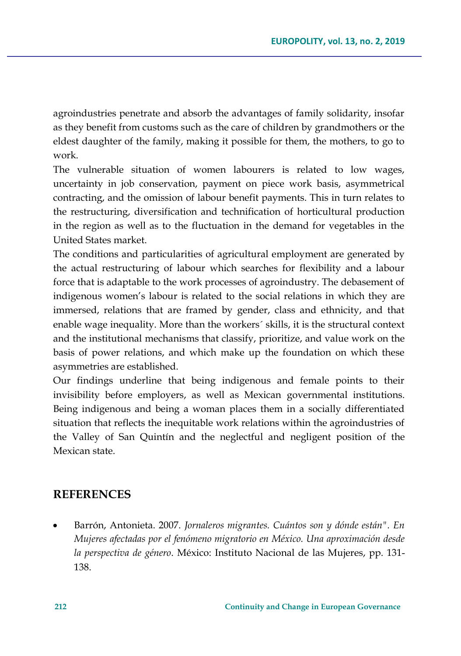agroindustries penetrate and absorb the advantages of family solidarity, insofar as they benefit from customs such as the care of children by grandmothers or the eldest daughter of the family, making it possible for them, the mothers, to go to work.

The vulnerable situation of women labourers is related to low wages, uncertainty in job conservation, payment on piece work basis, asymmetrical contracting, and the omission of labour benefit payments. This in turn relates to the restructuring, diversification and technification of horticultural production in the region as well as to the fluctuation in the demand for vegetables in the United States market.

The conditions and particularities of agricultural employment are generated by the actual restructuring of labour which searches for flexibility and a labour force that is adaptable to the work processes of agroindustry. The debasement of indigenous women's labour is related to the social relations in which they are immersed, relations that are framed by gender, class and ethnicity, and that enable wage inequality. More than the workers´ skills, it is the structural context and the institutional mechanisms that classify, prioritize, and value work on the basis of power relations, and which make up the foundation on which these asymmetries are established.

Our findings underline that being indigenous and female points to their invisibility before employers, as well as Mexican governmental institutions. Being indigenous and being a woman places them in a socially differentiated situation that reflects the inequitable work relations within the agroindustries of the Valley of San Quintín and the neglectful and negligent position of the Mexican state.

### **REFERENCES**

 Barrón, Antonieta. 2007. *Jornaleros migrantes. Cuántos son y dónde están". En Mujeres afectadas por el fenómeno migratorio en México. Una aproximación desde la perspectiva de género*. México: Instituto Nacional de las Mujeres, pp. 131- 138.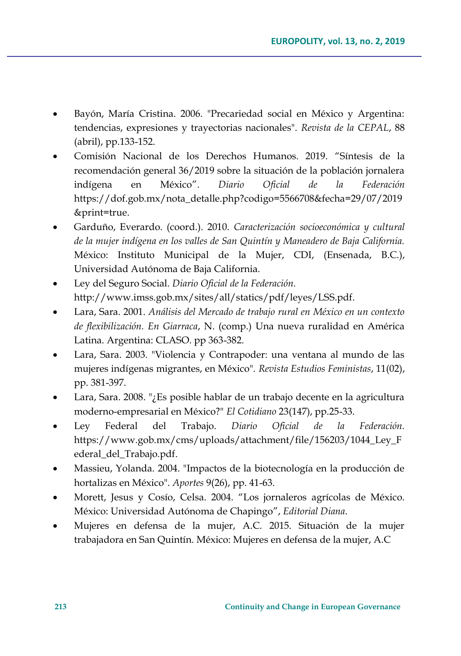- Bayón, María Cristina. 2006. "Precariedad social en México y Argentina: tendencias, expresiones y trayectorias nacionales". *Revista de la CEPAL*, 88 (abril), pp.133-152.
- Comisión Nacional de los Derechos Humanos. 2019. "Síntesis de la recomendación general 36/2019 sobre la situación de la población jornalera indígena en México". *Diario Oficial de la Federación*  [https://dof.gob.mx/nota\\_detalle.php?codigo=5566708&fecha=29/07/2019](https://dof.gob.mx/nota_detalle.php?codigo=5566708&fecha=29/07/2019&print=true) [&print=true.](https://dof.gob.mx/nota_detalle.php?codigo=5566708&fecha=29/07/2019&print=true)
- Garduño, Everardo. (coord.). 2010. *Caracterización socioeconómica y cultural de la mujer indígena en los valles de San Quintín y Maneadero de Baja California.* México: Instituto Municipal de la Mujer, CDI, (Ensenada, B.C.), Universidad Autónoma de Baja California.
- Ley del Seguro Social. *Diario Oficial de la Federación.* http://www.imss.gob.mx/sites/all/statics/pdf/leyes/LSS.pdf.
- Lara, Sara. 2001. *Análisis del Mercado de trabajo rural en México en un contexto de flexibilización. En Giarraca*, N. (comp.) Una nueva ruralidad en América Latina. Argentina: CLASO. pp 363-382.
- Lara, Sara. 2003. "Violencia y Contrapoder: una ventana al mundo de las mujeres indígenas migrantes, en México". *Revista Estudios Feministas*, 11(02), pp. 381-397.
- Lara, Sara. 2008. "¿Es posible hablar de un trabajo decente en la agricultura moderno-empresarial en México?" *El Cotidiano* 23(147), pp.25-33.
- Ley Federal del Trabajo. *Diario Oficial de la Federación.* [https://www.gob.mx/cms/uploads/attachment/file/156203/1044\\_Ley\\_F](https://www.gob.mx/cms/uploads/attachment/file/156203/1044_Ley_Federal_del_Trabajo.pdf) [ederal\\_del\\_Trabajo.pdf.](https://www.gob.mx/cms/uploads/attachment/file/156203/1044_Ley_Federal_del_Trabajo.pdf)
- Massieu, Yolanda. 2004. "Impactos de la biotecnología en la producción de hortalizas en México". *Aportes* 9(26), pp. 41-63.
- Morett, Jesus y Cosío, Celsa. 2004. "Los jornaleros agrícolas de México. México: Universidad Autónoma de Chapingo", *Editorial Diana*.
- Mujeres en defensa de la mujer, A.C. 2015. Situación de la mujer trabajadora en San Quintín. México: Mujeres en defensa de la mujer, A.C